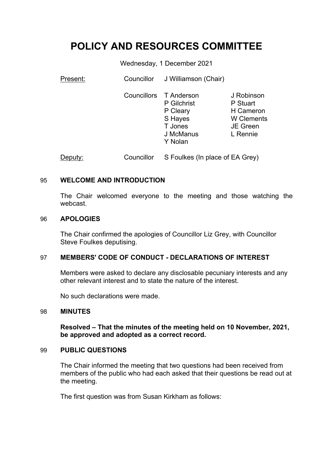# **POLICY AND RESOURCES COMMITTEE**

Wednesday, 1 December 2021

| Present: | Councillor | J Williamson (Chair)                                                                            |                                                                                         |
|----------|------------|-------------------------------------------------------------------------------------------------|-----------------------------------------------------------------------------------------|
|          |            | Councillors T Anderson<br>P Gilchrist<br>P Cleary<br>S Hayes<br>T Jones<br>J McManus<br>Y Nolan | J Robinson<br>P Stuart<br>H Cameron<br><b>W</b> Clements<br><b>JE Green</b><br>L Rennie |
| Deputy:  | Councillor | S Foulkes (In place of EA Grey)                                                                 |                                                                                         |

#### 95 **WELCOME AND INTRODUCTION**

The Chair welcomed everyone to the meeting and those watching the webcast.

#### 96 **APOLOGIES**

The Chair confirmed the apologies of Councillor Liz Grey, with Councillor Steve Foulkes deputising.

#### 97 **MEMBERS' CODE OF CONDUCT - DECLARATIONS OF INTEREST**

Members were asked to declare any disclosable pecuniary interests and any other relevant interest and to state the nature of the interest.

No such declarations were made.

#### 98 **MINUTES**

**Resolved – That the minutes of the meeting held on 10 November, 2021, be approved and adopted as a correct record.**

#### 99 **PUBLIC QUESTIONS**

The Chair informed the meeting that two questions had been received from members of the public who had each asked that their questions be read out at the meeting.

The first question was from Susan Kirkham as follows: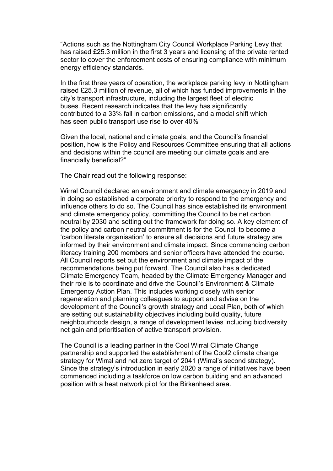"Actions such as the Nottingham City Council Workplace Parking Levy that has raised £25.3 million in the first 3 years and licensing of the private rented sector to cover the enforcement costs of ensuring compliance with minimum energy efficiency standards.

In the first three years of operation, the workplace parking levy in Nottingham raised £25.3 million of revenue, all of which has funded improvements in the city's transport infrastructure, including the largest fleet of electric buses. Recent research indicates that the levy has significantly contributed to a 33% fall in carbon emissions, and a modal shift which has seen public transport use rise to over 40%

Given the local, national and climate goals, and the Council's financial position, how is the Policy and Resources Committee ensuring that all actions and decisions within the council are meeting our climate goals and are financially beneficial?"

The Chair read out the following response:

Wirral Council declared an environment and climate emergency in 2019 and in doing so established a corporate priority to respond to the emergency and influence others to do so. The Council has since established its environment and climate emergency policy, committing the Council to be net carbon neutral by 2030 and setting out the framework for doing so. A key element of the policy and carbon neutral commitment is for the Council to become a 'carbon literate organisation' to ensure all decisions and future strategy are informed by their environment and climate impact. Since commencing carbon literacy training 200 members and senior officers have attended the course. All Council reports set out the environment and climate impact of the recommendations being put forward. The Council also has a dedicated Climate Emergency Team, headed by the Climate Emergency Manager and their role is to coordinate and drive the Council's Environment & Climate Emergency Action Plan. This includes working closely with senior regeneration and planning colleagues to support and advise on the development of the Council's growth strategy and Local Plan, both of which are setting out sustainability objectives including build quality, future neighbourhoods design, a range of development levies including biodiversity net gain and prioritisation of active transport provision.

The Council is a leading partner in the Cool Wirral Climate Change partnership and supported the establishment of the Cool2 climate change strategy for Wirral and net zero target of 2041 (Wirral's second strategy). Since the strategy's introduction in early 2020 a range of initiatives have been commenced including a taskforce on low carbon building and an advanced position with a heat network pilot for the Birkenhead area.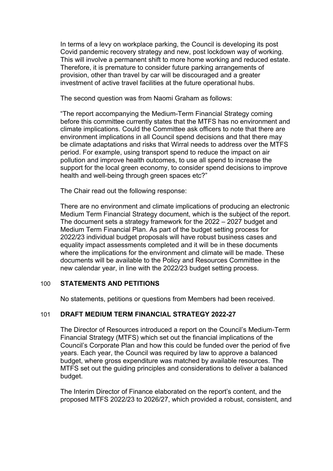In terms of a levy on workplace parking, the Council is developing its post Covid pandemic recovery strategy and new, post lockdown way of working. This will involve a permanent shift to more home working and reduced estate. Therefore, it is premature to consider future parking arrangements of provision, other than travel by car will be discouraged and a greater investment of active travel facilities at the future operational hubs.

The second question was from Naomi Graham as follows:

"The report accompanying the Medium-Term Financial Strategy coming before this committee currently states that the MTFS has no environment and climate implications. Could the Committee ask officers to note that there are environment implications in all Council spend decisions and that there may be climate adaptations and risks that Wirral needs to address over the MTFS period. For example, using transport spend to reduce the impact on air pollution and improve health outcomes, to use all spend to increase the support for the local green economy, to consider spend decisions to improve health and well-being through green spaces etc?"

The Chair read out the following response:

There are no environment and climate implications of producing an electronic Medium Term Financial Strategy document, which is the subject of the report. The document sets a strategy framework for the 2022 – 2027 budget and Medium Term Financial Plan. As part of the budget setting process for 2022/23 individual budget proposals will have robust business cases and equality impact assessments completed and it will be in these documents where the implications for the environment and climate will be made. These documents will be available to the Policy and Resources Committee in the new calendar year, in line with the 2022/23 budget setting process.

# 100 **STATEMENTS AND PETITIONS**

No statements, petitions or questions from Members had been received.

# 101 **DRAFT MEDIUM TERM FINANCIAL STRATEGY 2022-27**

The Director of Resources introduced a report on the Council's Medium-Term Financial Strategy (MTFS) which set out the financial implications of the Council's Corporate Plan and how this could be funded over the period of five years. Each year, the Council was required by law to approve a balanced budget, where gross expenditure was matched by available resources. The MTFS set out the guiding principles and considerations to deliver a balanced budget.

The Interim Director of Finance elaborated on the report's content, and the proposed MTFS 2022/23 to 2026/27, which provided a robust, consistent, and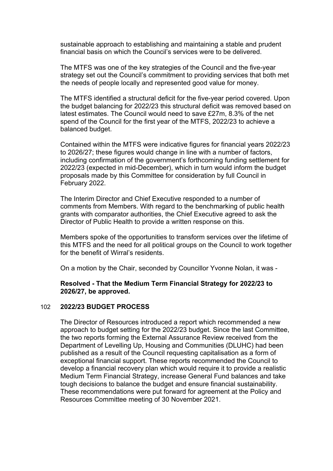sustainable approach to establishing and maintaining a stable and prudent financial basis on which the Council's services were to be delivered.

The MTFS was one of the key strategies of the Council and the five-year strategy set out the Council's commitment to providing services that both met the needs of people locally and represented good value for money.

The MTFS identified a structural deficit for the five-year period covered. Upon the budget balancing for 2022/23 this structural deficit was removed based on latest estimates. The Council would need to save £27m, 8.3% of the net spend of the Council for the first year of the MTFS, 2022/23 to achieve a balanced budget.

Contained within the MTFS were indicative figures for financial years 2022/23 to 2026/27; these figures would change in line with a number of factors, including confirmation of the government's forthcoming funding settlement for 2022/23 (expected in mid-December), which in turn would inform the budget proposals made by this Committee for consideration by full Council in February 2022.

The Interim Director and Chief Executive responded to a number of comments from Members. With regard to the benchmarking of public health grants with comparator authorities, the Chief Executive agreed to ask the Director of Public Health to provide a written response on this.

Members spoke of the opportunities to transform services over the lifetime of this MTFS and the need for all political groups on the Council to work together for the benefit of Wirral's residents.

On a motion by the Chair, seconded by Councillor Yvonne Nolan, it was -

### **Resolved - That the Medium Term Financial Strategy for 2022/23 to 2026/27, be approved.**

#### 102 **2022/23 BUDGET PROCESS**

The Director of Resources introduced a report which recommended a new approach to budget setting for the 2022/23 budget. Since the last Committee, the two reports forming the External Assurance Review received from the Department of Levelling Up, Housing and Communities (DLUHC) had been published as a result of the Council requesting capitalisation as a form of exceptional financial support. These reports recommended the Council to develop a financial recovery plan which would require it to provide a realistic Medium Term Financial Strategy, increase General Fund balances and take tough decisions to balance the budget and ensure financial sustainability. These recommendations were put forward for agreement at the Policy and Resources Committee meeting of 30 November 2021.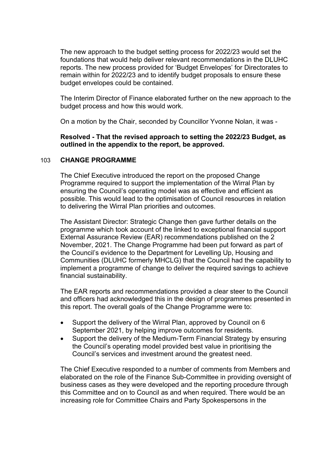The new approach to the budget setting process for 2022/23 would set the foundations that would help deliver relevant recommendations in the DLUHC reports. The new process provided for 'Budget Envelopes' for Directorates to remain within for 2022/23 and to identify budget proposals to ensure these budget envelopes could be contained.

The Interim Director of Finance elaborated further on the new approach to the budget process and how this would work.

On a motion by the Chair, seconded by Councillor Yvonne Nolan, it was -

**Resolved - That the revised approach to setting the 2022/23 Budget, as outlined in the appendix to the report, be approved.**

### 103 **CHANGE PROGRAMME**

The Chief Executive introduced the report on the proposed Change Programme required to support the implementation of the Wirral Plan by ensuring the Council's operating model was as effective and efficient as possible. This would lead to the optimisation of Council resources in relation to delivering the Wirral Plan priorities and outcomes.

The Assistant Director: Strategic Change then gave further details on the programme which took account of the linked to exceptional financial support External Assurance Review (EAR) recommendations published on the 2 November, 2021. The Change Programme had been put forward as part of the Council's evidence to the Department for Levelling Up, Housing and Communities (DLUHC formerly MHCLG) that the Council had the capability to implement a programme of change to deliver the required savings to achieve financial sustainability.

The EAR reports and recommendations provided a clear steer to the Council and officers had acknowledged this in the design of programmes presented in this report. The overall goals of the Change Programme were to:

- Support the delivery of the Wirral Plan, approved by Council on 6 September 2021, by helping improve outcomes for residents.
- Support the delivery of the Medium-Term Financial Strategy by ensuring the Council's operating model provided best value in prioritising the Council's services and investment around the greatest need.

The Chief Executive responded to a number of comments from Members and elaborated on the role of the Finance Sub-Committee in providing oversight of business cases as they were developed and the reporting procedure through this Committee and on to Council as and when required. There would be an increasing role for Committee Chairs and Party Spokespersons in the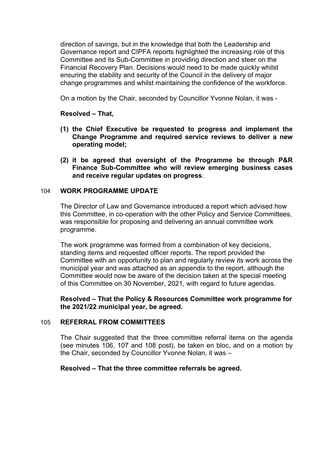direction of savings, but in the knowledge that both the Leadership and Governance report and CIPFA reports highlighted the increasing role of this Committee and its Sub-Committee in providing direction and steer on the Financial Recovery Plan. Decisions would need to be made quickly whilst ensuring the stability and security of the Council in the delivery of major change programmes and whilst maintaining the confidence of the workforce.

On a motion by the Chair, seconded by Councillor Yvonne Nolan, it was -

### **Resolved – That,**

- **(1) the Chief Executive be requested to progress and implement the Change Programme and required service reviews to deliver a new operating model;**
- **(2) it be agreed that oversight of the Programme be through P&R Finance Sub-Committee who will review emerging business cases and receive regular updates on progress**.

#### 104 **WORK PROGRAMME UPDATE**

The Director of Law and Governance introduced a report which advised how this Committee, in co-operation with the other Policy and Service Committees, was responsible for proposing and delivering an annual committee work programme.

The work programme was formed from a combination of key decisions, standing items and requested officer reports. The report provided the Committee with an opportunity to plan and regularly review its work across the municipal year and was attached as an appendix to the report, although the Committee would now be aware of the decision taken at the special meeting of this Committee on 30 November, 2021, with regard to future agendas.

**Resolved – That the Policy & Resources Committee work programme for the 2021/22 municipal year, be agreed.**

# 105 **REFERRAL FROM COMMITTEES**

The Chair suggested that the three committee referral items on the agenda (see minutes 106, 107 and 108 post), be taken en bloc, and on a motion by the Chair, seconded by Councillor Yvonne Nolan, it was –

# **Resolved – That the three committee referrals be agreed.**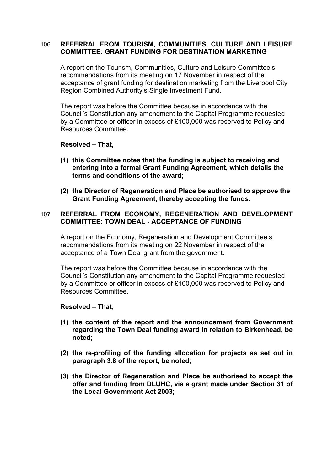# 106 **REFERRAL FROM TOURISM, COMMUNITIES, CULTURE AND LEISURE COMMITTEE: GRANT FUNDING FOR DESTINATION MARKETING**

A report on the Tourism, Communities, Culture and Leisure Committee's recommendations from its meeting on 17 November in respect of the acceptance of grant funding for destination marketing from the Liverpool City Region Combined Authority's Single Investment Fund.

The report was before the Committee because in accordance with the Council's Constitution any amendment to the Capital Programme requested by a Committee or officer in excess of £100,000 was reserved to Policy and Resources Committee.

**Resolved – That,**

- **(1) this Committee notes that the funding is subject to receiving and entering into a formal Grant Funding Agreement, which details the terms and conditions of the award;**
- **(2) the Director of Regeneration and Place be authorised to approve the Grant Funding Agreement, thereby accepting the funds.**

# 107 **REFERRAL FROM ECONOMY, REGENERATION AND DEVELOPMENT COMMITTEE: TOWN DEAL - ACCEPTANCE OF FUNDING**

A report on the Economy, Regeneration and Development Committee's recommendations from its meeting on 22 November in respect of the acceptance of a Town Deal grant from the government.

The report was before the Committee because in accordance with the Council's Constitution any amendment to the Capital Programme requested by a Committee or officer in excess of £100,000 was reserved to Policy and Resources Committee.

#### **Resolved – That,**

- **(1) the content of the report and the announcement from Government regarding the Town Deal funding award in relation to Birkenhead, be noted;**
- **(2) the re-profiling of the funding allocation for projects as set out in paragraph 3.8 of the report, be noted;**
- **(3) the Director of Regeneration and Place be authorised to accept the offer and funding from DLUHC, via a grant made under Section 31 of the Local Government Act 2003;**